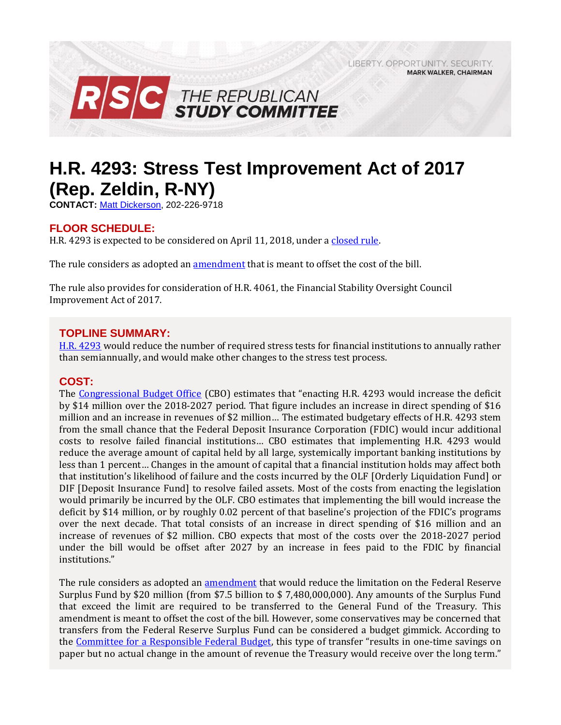LIBERTY, OPPORTUNITY, SECURITY, **MARK WALKER, CHAIRMAN** 



# **H.R. 4293: Stress Test Improvement Act of 2017 (Rep. Zeldin, R-NY)**

**CONTACT:** [Matt Dickerson,](mailto:Matthew.Dickerson@mail.house.gov) 202-226-9718

# **FLOOR SCHEDULE:**

H.R. 4293 is expected to be considered on April 11, 2018, under a [closed rule.](https://rules.house.gov/bill/115/hr-4293) 

The rule considers as adopted an **amendment** that is meant to offset the cost of the bill.

The rule also provides for consideration of H.R. 4061, the Financial Stability Oversight Council Improvement Act of 2017.

# **TOPLINE SUMMARY:**

[H.R. 4293](http://docs.house.gov/billsthisweek/20180312/BILLS-%20115HR4293-RCP115-63.pdf) would reduce the number of required stress tests for financial institutions to annually rather than semiannually, and would make other changes to the stress test process.

#### **COST:**

The [Congressional Budget Office](https://www.cbo.gov/system/files/115th-congress-2017-2018/costestimate/hr4293.pdf) (CBO) estimates that "enacting H.R. 4293 would increase the deficit by \$14 million over the 2018-2027 period. That figure includes an increase in direct spending of \$16 million and an increase in revenues of \$2 million… The estimated budgetary effects of H.R. 4293 stem from the small chance that the Federal Deposit Insurance Corporation (FDIC) would incur additional costs to resolve failed financial institutions… CBO estimates that implementing H.R. 4293 would reduce the average amount of capital held by all large, systemically important banking institutions by less than 1 percent… Changes in the amount of capital that a financial institution holds may affect both that institution's likelihood of failure and the costs incurred by the OLF [Orderly Liquidation Fund] or DIF [Deposit Insurance Fund] to resolve failed assets. Most of the costs from enacting the legislation would primarily be incurred by the OLF. CBO estimates that implementing the bill would increase the deficit by \$14 million, or by roughly 0.02 percent of that baseline's projection of the FDIC's programs over the next decade. That total consists of an increase in direct spending of \$16 million and an increase of revenues of \$2 million. CBO expects that most of the costs over the 2018-2027 period under the bill would be offset after 2027 by an increase in fees paid to the FDIC by financial institutions."

The rule considers as adopted an [amendment](https://amendments-rules.house.gov/amendments/HR4293_FED_xml39181653235323.pdf) that would reduce the limitation on the Federal Reserve Surplus Fund by \$20 million (from \$7.5 billion to \$ 7,480,000,000). Any amounts of the Surplus Fund that exceed the limit are required to be transferred to the General Fund of the Treasury. This amendment is meant to offset the cost of the bill. However, some conservatives may be concerned that transfers from the Federal Reserve Surplus Fund can be considered a budget gimmick. According to the [Committee for a Responsible Federal Budget](http://www.crfb.org/blogs/federal-reserve-budget-gimmick-house-transportation-bill), this type of transfer "results in one-time savings on paper but no actual change in the amount of revenue the Treasury would receive over the long term."